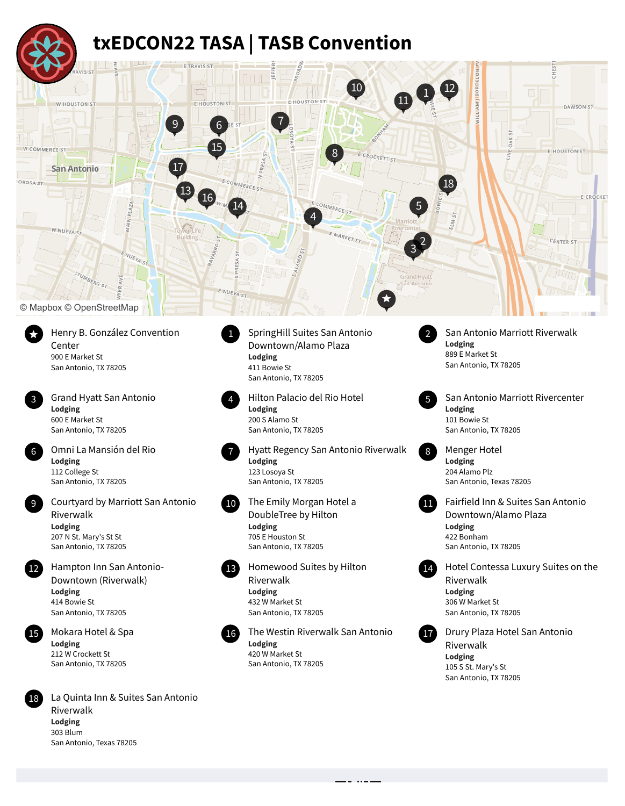## **txEDCON22 TASA | TASB Convention**



Henry B. González Convention Center 900 E Market St San Antonio, TX 78205



Grand Hyatt San Antonio **Lodging** 600 E Market St San Antonio, TX 78205



Omni La Mansión del Rio **Lodging** 112 College St San Antonio, TX 78205 6 Omni La Mansión del Rio **1986 (1986)** Hyatt Regency San Antonio Riverwalk (1886) Menger Hotel

Courtyard by Marriott San Antonio 9 The Emily Morgan Hotel a Riverwalk **Lodging** 207 N St. Mary's St St San Antonio, TX 78205



Hampton Inn San Antonio-Downtown (Riverwalk) **Lodging** 414 Bowie St San Antonio, TX 78205





La Quinta Inn & Suites San Antonio Riverwalk **Lodging** 303 Blum San Antonio, Texas 78205

Downtown/Alamo Plaza **Lodging** 411 Bowie St San Antonio, TX 78205



3 Hilton Palacio del Rio Hotel **Lodging** 200 S Alamo St San Antonio, TX 78205

**Lodging** 123 Losoya St San Antonio, TX 78205

DoubleTree by Hilton **Lodging** 705 E Houston St San Antonio, TX 78205



Homewood Suites by Hilton Riverwalk **Lodging** 432 W Market St San Antonio, TX 78205



15 Mokara Hotel & Spa **16 Mokara 16 Mokara 16 Mokara 16 Mokara 16 Mokara Antonio** 17 Drury Plaza Hotel San Antonio **Lodging** 420 W Market St San Antonio, TX 78205



SpringHill Suites San Antonio 1 San Antonio Marriott Riverwalk **Lodging** 889 E Market St San Antonio, TX 78205



San Antonio Marriott Rivercenter **Lodging** 101 Bowie St San Antonio, TX 78205



**Lodging** 204 Alamo Plz San Antonio, Texas 78205



10 The Emily Morgan Hotel a **19 The Emily Morgan Hotel a** Fairfield Inn & Suites San Antonio Downtown/Alamo Plaza **Lodging** 422 Bonham San Antonio, TX 78205



Hotel Contessa Luxury Suites on the Riverwalk **Lodging** 306 W Market St San Antonio, TX 78205



Riverwalk **Lodging** 105 S St. Mary's St San Antonio, TX 78205